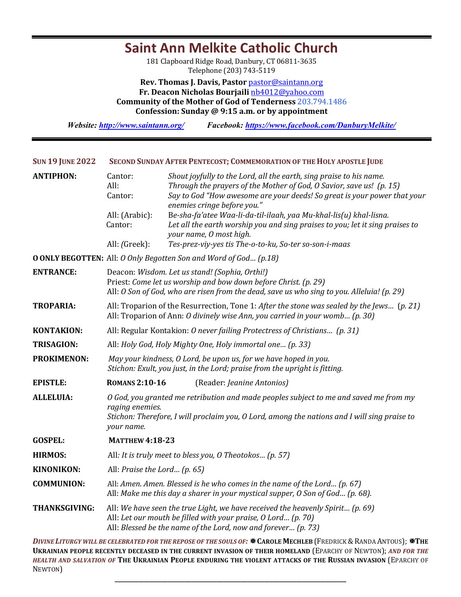## **Rev. Thomas J. Davis, Pastor** pastor@saintann.org **Fr. Deacon Nicholas Bourjaili** nb4012@yahoo.com **Community of the Mother of God of Tenderness 203.794.1486 Confession: Sunday @ 9:15 a.m. or by appointment** *Website: http://www.saintann.org/ Facebook: https://www.facebook.com/DanburyMelkite/*  SUN 19 JUNE 2022 SECOND SUNDAY AFTER PENTECOST; COMMEMORATION OF THE HOLY APOSTLE JUDE **ANTIPHON:** Cantor: *Shout joyfully to the Lord, all the earth, sing praise to his name.* All: *Through the prayers of the Mother of God, O Savior, save us!* (p. 15) Cantor: *Say to God "How awesome are your deeds! So great is your power that your enemies cringe before you."* All: (Arabic): Be-sha-fa'atee Waa-li-da-til-ilaah, yaa Mu-khal-lis(u) khal-lisna. Cantor: *Let all the earth worship you and sing praises to you; let it sing praises to your name, O most high.*  All: *(Greek):* Tes-prez-viy-yes tis The-o-to-ku, So-ter so-son-i-maas **OONLY BEGOTTEN:** All: *O Only Begotten Son and Word of God… (p.18)* **ENTRANCE:** Deacon: *Wisdom. Let us stand!* (Sophia, Orthi!) Priest: *Come let us worship and bow down before Christ. (p. 29)* All: *O* Son of God, who are risen from the dead, save us who sing to you. Alleluia! (p. 29) **TROPARIA:** All: Troparion of the Resurrection, Tone 1: *After the stone was sealed by the Jews...* (*p. 21*) All: Troparion of Ann: *O* divinely wise Ann, you carried in your womb... (p. 30) **KONTAKION:** All: Regular Kontakion: *O* never failing Protectress of Christians... (p. 31) **TRISAGION:** All: *Holy God, Holy Mighty One, Holy immortal one... (p. 33)* **PROKIMENON:** May your kindness, O Lord, be upon us, for we have hoped in you. *Stichon: Exult, you just, in the Lord; praise from the upright is fitting.* **EPISTLE: ROMANS 2:10-16** (Reader: *Jeanine Antonios*) **ALLELUIA:** *O God, you granted me retribution and made peoples subject to me and saved me from my* raging enemies. *Stichon: Therefore, I will proclaim you, O Lord, among the nations and I will sing praise to your name.*  GOSPEL: **MATTHEW 4:18-23 HIRMOS:** All: It is truly meet to bless you, O Theotokos... (p. 57) **KINONIKON:** All: *Praise the Lord...* (p. 65) **COMMUNION:** All: *Amen. Amen. Blessed is he who comes in the name of the Lord... (p. 67)* All: Make me this day a sharer in your mystical supper, O Son of God... (p. 68). **THANKSGIVING:** All: We have seen the true Light, we have received the heavenly Spirit... (p. 69) All: Let our mouth be filled with your praise, O Lord... (p. 70) All: *Blessed be the name of the Lord, now and forever... (p. 73)*

**Saint Ann Melkite Catholic Church** 181 Clapboard Ridge Road, Danbury, CT 06811-3635 Telephone (203) 743-5119

*DIVINE LITURGY WILL BE CELEBRATED FOR THE REPOSE OF THE SOULS OF:* <sup>★</sup> CAROLE MECHLEB (FREDRICK & RANDA ANTOUS); \*THE **UKRAINIAN PEOPLE RECENTLY DECEASED IN THE CURRENT INVASION OF THEIR HOMELAND** (EPARCHY OF NEWTON); AND FOR THE HEALTH AND SALVATION OF THE UKRAINIAN PEOPLE ENDURING THE VIOLENT ATTACKS OF THE RUSSIAN INVASION (EPARCHY OF NEWTON)

**\_\_\_\_\_\_\_\_\_\_\_\_\_\_\_\_\_\_\_\_\_\_\_\_\_\_\_\_\_\_\_\_\_\_\_\_\_\_\_\_\_\_\_\_\_\_\_\_\_\_\_\_\_\_\_\_\_\_\_\_\_\_\_\_\_\_\_\_\_\_\_\_\_\_\_\_\_\_\_**